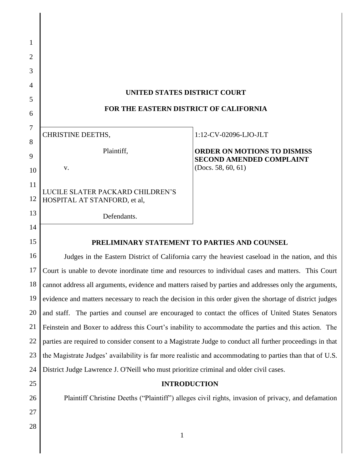| $\mathbf{1}$   |                                                                                                           |                                                                                                    |  |  |
|----------------|-----------------------------------------------------------------------------------------------------------|----------------------------------------------------------------------------------------------------|--|--|
| $\overline{2}$ |                                                                                                           |                                                                                                    |  |  |
| 3              |                                                                                                           |                                                                                                    |  |  |
| 4              |                                                                                                           |                                                                                                    |  |  |
| 5              | <b>UNITED STATES DISTRICT COURT</b>                                                                       |                                                                                                    |  |  |
| 6              | FOR THE EASTERN DISTRICT OF CALIFORNIA                                                                    |                                                                                                    |  |  |
| 7              |                                                                                                           |                                                                                                    |  |  |
| 8              | <b>CHRISTINE DEETHS,</b>                                                                                  | 1:12-CV-02096-LJO-JLT                                                                              |  |  |
| 9              | Plaintiff,                                                                                                | <b>ORDER ON MOTIONS TO DISMISS</b><br><b>SECOND AMENDED COMPLAINT</b>                              |  |  |
| 10             | V.                                                                                                        | (Docs. 58, 60, 61)                                                                                 |  |  |
| 11             |                                                                                                           |                                                                                                    |  |  |
| 12             | LUCILE SLATER PACKARD CHILDREN'S<br>HOSPITAL AT STANFORD, et al,                                          |                                                                                                    |  |  |
| 13             | Defendants.                                                                                               |                                                                                                    |  |  |
| 14             |                                                                                                           |                                                                                                    |  |  |
| 15             | PRELIMINARY STATEMENT TO PARTIES AND COUNSEL                                                              |                                                                                                    |  |  |
| 16             | Judges in the Eastern District of California carry the heaviest caseload in the nation, and this          |                                                                                                    |  |  |
| 17             | Court is unable to devote inordinate time and resources to individual cases and matters. This Court       |                                                                                                    |  |  |
| 18             | cannot address all arguments, evidence and matters raised by parties and addresses only the arguments,    |                                                                                                    |  |  |
| 19             | evidence and matters necessary to reach the decision in this order given the shortage of district judges  |                                                                                                    |  |  |
| 20             | and staff. The parties and counsel are encouraged to contact the offices of United States Senators        |                                                                                                    |  |  |
| 21             | Feinstein and Boxer to address this Court's inability to accommodate the parties and this action. The     |                                                                                                    |  |  |
| 22             | parties are required to consider consent to a Magistrate Judge to conduct all further proceedings in that |                                                                                                    |  |  |
| 23             | the Magistrate Judges' availability is far more realistic and accommodating to parties than that of U.S.  |                                                                                                    |  |  |
| 24             | District Judge Lawrence J. O'Neill who must prioritize criminal and older civil cases.                    |                                                                                                    |  |  |
| 25             | <b>INTRODUCTION</b>                                                                                       |                                                                                                    |  |  |
| 26             |                                                                                                           | Plaintiff Christine Deeths ("Plaintiff") alleges civil rights, invasion of privacy, and defamation |  |  |
| 27             |                                                                                                           |                                                                                                    |  |  |
| 28             | $\mathbf{1}$                                                                                              |                                                                                                    |  |  |
|                |                                                                                                           |                                                                                                    |  |  |
|                |                                                                                                           |                                                                                                    |  |  |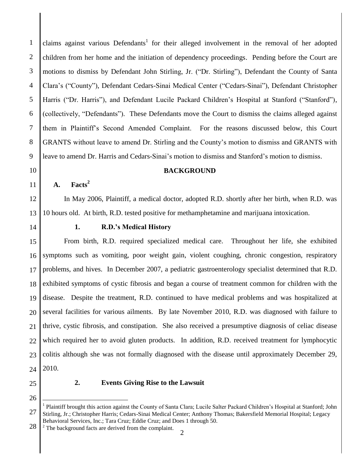claims against various Defendants<sup>1</sup> for their alleged involvement in the removal of her adopted children from her home and the initiation of dependency proceedings. Pending before the Court are motions to dismiss by Defendant John Stirling, Jr. ("Dr. Stirling"), Defendant the County of Santa Clara's ("County"), Defendant Cedars-Sinai Medical Center ("Cedars-Sinai"), Defendant Christopher Harris ("Dr. Harris"), and Defendant Lucile Packard Children's Hospital at Stanford ("Stanford"), (collectively, "Defendants"). These Defendants move the Court to dismiss the claims alleged against them in Plaintiff's Second Amended Complaint. For the reasons discussed below, this Court GRANTS without leave to amend Dr. Stirling and the County's motion to dismiss and GRANTS with leave to amend Dr. Harris and Cedars-Sinai's motion to dismiss and Stanford's motion to dismiss.

# 10

11

12

13

1

2

3

4

5

6

7

8

9

#### **BACKGROUND**

**A. Facts<sup>2</sup>**

In May 2006, Plaintiff, a medical doctor, adopted R.D. shortly after her birth, when R.D. was 10 hours old. At birth, R.D. tested positive for methamphetamine and marijuana intoxication.

14

## **1. R.D.'s Medical History**

15 16 17 18 19 20 21 22 23 24 From birth, R.D. required specialized medical care. Throughout her life, she exhibited symptoms such as vomiting, poor weight gain, violent coughing, chronic congestion, respiratory problems, and hives. In December 2007, a pediatric gastroenterology specialist determined that R.D. exhibited symptoms of cystic fibrosis and began a course of treatment common for children with the disease. Despite the treatment, R.D. continued to have medical problems and was hospitalized at several facilities for various ailments. By late November 2010, R.D. was diagnosed with failure to thrive, cystic fibrosis, and constipation. She also received a presumptive diagnosis of celiac disease which required her to avoid gluten products. In addition, R.D. received treatment for lymphocytic colitis although she was not formally diagnosed with the disease until approximately December 29, 2010.

25 26

 $\overline{a}$ 

## **2. Events Giving Rise to the Lawsuit**

28  $2$  The background facts are derived from the complaint.

<sup>27</sup> <sup>1</sup> Plaintiff brought this action against the County of Santa Clara; Lucile Salter Packard Children's Hospital at Stanford; John Stirling, Jr.; Christopher Harris; Cedars-Sinai Medical Center; Anthony Thomas; Bakersfield Memorial Hospital; Legacy Behavioral Services, Inc.; Tara Cruz; Eddie Cruz; and Does 1 through 50.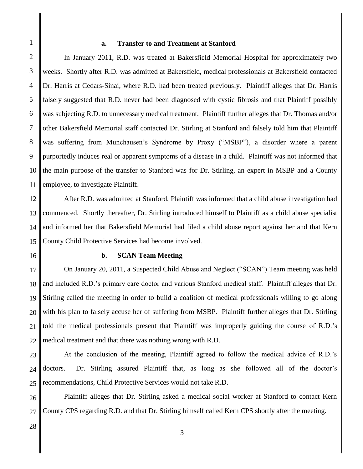1

#### **a. Transfer to and Treatment at Stanford**

2 3 4 5 6 7 8 9 10 11 In January 2011, R.D. was treated at Bakersfield Memorial Hospital for approximately two weeks. Shortly after R.D. was admitted at Bakersfield, medical professionals at Bakersfield contacted Dr. Harris at Cedars-Sinai, where R.D. had been treated previously. Plaintiff alleges that Dr. Harris falsely suggested that R.D. never had been diagnosed with cystic fibrosis and that Plaintiff possibly was subjecting R.D. to unnecessary medical treatment. Plaintiff further alleges that Dr. Thomas and/or other Bakersfield Memorial staff contacted Dr. Stirling at Stanford and falsely told him that Plaintiff was suffering from Munchausen's Syndrome by Proxy ("MSBP"), a disorder where a parent purportedly induces real or apparent symptoms of a disease in a child. Plaintiff was not informed that the main purpose of the transfer to Stanford was for Dr. Stirling, an expert in MSBP and a County employee, to investigate Plaintiff.

12 13 14 15 After R.D. was admitted at Stanford, Plaintiff was informed that a child abuse investigation had commenced. Shortly thereafter, Dr. Stirling introduced himself to Plaintiff as a child abuse specialist and informed her that Bakersfield Memorial had filed a child abuse report against her and that Kern County Child Protective Services had become involved.

16

### **b. SCAN Team Meeting**

17 18 19 20 21 22 On January 20, 2011, a Suspected Child Abuse and Neglect ("SCAN") Team meeting was held and included R.D.'s primary care doctor and various Stanford medical staff. Plaintiff alleges that Dr. Stirling called the meeting in order to build a coalition of medical professionals willing to go along with his plan to falsely accuse her of suffering from MSBP. Plaintiff further alleges that Dr. Stirling told the medical professionals present that Plaintiff was improperly guiding the course of R.D.'s medical treatment and that there was nothing wrong with R.D.

23 24 25 At the conclusion of the meeting, Plaintiff agreed to follow the medical advice of R.D.'s doctors. Dr. Stirling assured Plaintiff that, as long as she followed all of the doctor's recommendations, Child Protective Services would not take R.D.

26 27 Plaintiff alleges that Dr. Stirling asked a medical social worker at Stanford to contact Kern County CPS regarding R.D. and that Dr. Stirling himself called Kern CPS shortly after the meeting.

28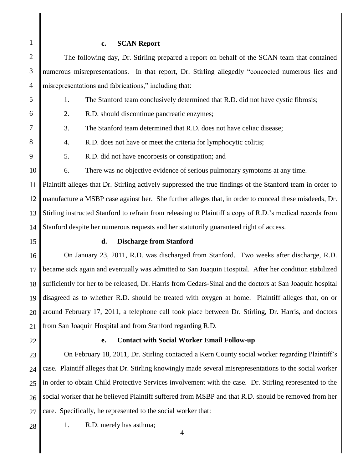1 2 3 4 5 6 7 8 9 10 11 12 13 14 15 16 17 18 19 20 21 22 23 24 25 26 27 28 4 **c. SCAN Report** The following day, Dr. Stirling prepared a report on behalf of the SCAN team that contained numerous misrepresentations. In that report, Dr. Stirling allegedly "concocted numerous lies and misrepresentations and fabrications," including that: 1. The Stanford team conclusively determined that R.D. did not have cystic fibrosis; 2. R.D. should discontinue pancreatic enzymes; 3. The Stanford team determined that R.D. does not have celiac disease; 4. R.D. does not have or meet the criteria for lymphocytic colitis; 5. R.D. did not have encorpesis or constipation; and 6. There was no objective evidence of serious pulmonary symptoms at any time. Plaintiff alleges that Dr. Stirling actively suppressed the true findings of the Stanford team in order to manufacture a MSBP case against her. She further alleges that, in order to conceal these misdeeds, Dr. Stirling instructed Stanford to refrain from releasing to Plaintiff a copy of R.D.'s medical records from Stanford despite her numerous requests and her statutorily guaranteed right of access. **d. Discharge from Stanford** On January 23, 2011, R.D. was discharged from Stanford. Two weeks after discharge, R.D. became sick again and eventually was admitted to San Joaquin Hospital. After her condition stabilized sufficiently for her to be released, Dr. Harris from Cedars-Sinai and the doctors at San Joaquin hospital disagreed as to whether R.D. should be treated with oxygen at home. Plaintiff alleges that, on or around February 17, 2011, a telephone call took place between Dr. Stirling, Dr. Harris, and doctors from San Joaquin Hospital and from Stanford regarding R.D. **e. Contact with Social Worker Email Follow-up** On February 18, 2011, Dr. Stirling contacted a Kern County social worker regarding Plaintiff's case. Plaintiff alleges that Dr. Stirling knowingly made several misrepresentations to the social worker in order to obtain Child Protective Services involvement with the case. Dr. Stirling represented to the social worker that he believed Plaintiff suffered from MSBP and that R.D. should be removed from her care. Specifically, he represented to the social worker that: 1. R.D. merely has asthma;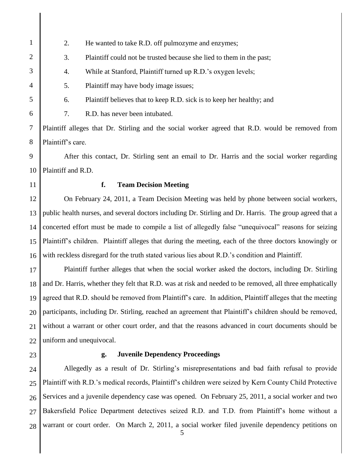1 2 3 4 5 6 7 8 9 10 11 12 13 14 15 16 17 18 19 20 21 22 23 24 25 26 27 28 5 2. He wanted to take R.D. off pulmozyme and enzymes; 3. Plaintiff could not be trusted because she lied to them in the past; 4. While at Stanford, Plaintiff turned up R.D.'s oxygen levels; 5. Plaintiff may have body image issues; 6. Plaintiff believes that to keep R.D. sick is to keep her healthy; and 7. R.D. has never been intubated. Plaintiff alleges that Dr. Stirling and the social worker agreed that R.D. would be removed from Plaintiff's care. After this contact, Dr. Stirling sent an email to Dr. Harris and the social worker regarding Plaintiff and R.D. **f. Team Decision Meeting** On February 24, 2011, a Team Decision Meeting was held by phone between social workers, public health nurses, and several doctors including Dr. Stirling and Dr. Harris. The group agreed that a concerted effort must be made to compile a list of allegedly false "unequivocal" reasons for seizing Plaintiff's children. Plaintiff alleges that during the meeting, each of the three doctors knowingly or with reckless disregard for the truth stated various lies about R.D.'s condition and Plaintiff. Plaintiff further alleges that when the social worker asked the doctors, including Dr. Stirling and Dr. Harris, whether they felt that R.D. was at risk and needed to be removed, all three emphatically agreed that R.D. should be removed from Plaintiff's care. In addition, Plaintiff alleges that the meeting participants, including Dr. Stirling, reached an agreement that Plaintiff's children should be removed, without a warrant or other court order, and that the reasons advanced in court documents should be uniform and unequivocal. **g. Juvenile Dependency Proceedings** Allegedly as a result of Dr. Stirling's misrepresentations and bad faith refusal to provide Plaintiff with R.D.'s medical records, Plaintiff's children were seized by Kern County Child Protective Services and a juvenile dependency case was opened. On February 25, 2011, a social worker and two Bakersfield Police Department detectives seized R.D. and T.D. from Plaintiff's home without a warrant or court order. On March 2, 2011, a social worker filed juvenile dependency petitions on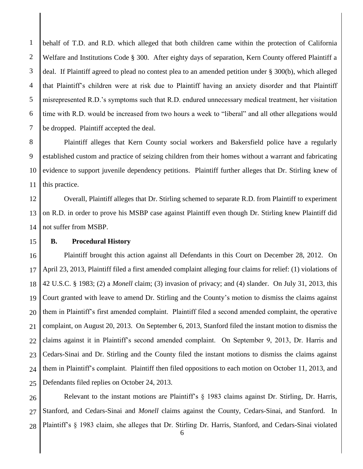1 2 3 4 5 6 7 behalf of T.D. and R.D. which alleged that both children came within the protection of California Welfare and Institutions Code § 300. After eighty days of separation, Kern County offered Plaintiff a deal. If Plaintiff agreed to plead no contest plea to an amended petition under § 300(b), which alleged that Plaintiff's children were at risk due to Plaintiff having an anxiety disorder and that Plaintiff misrepresented R.D.'s symptoms such that R.D. endured unnecessary medical treatment, her visitation time with R.D. would be increased from two hours a week to "liberal" and all other allegations would be dropped. Plaintiff accepted the deal.

8 9 10 11 Plaintiff alleges that Kern County social workers and Bakersfield police have a regularly established custom and practice of seizing children from their homes without a warrant and fabricating evidence to support juvenile dependency petitions. Plaintiff further alleges that Dr. Stirling knew of this practice.

12 13 14 Overall, Plaintiff alleges that Dr. Stirling schemed to separate R.D. from Plaintiff to experiment on R.D. in order to prove his MSBP case against Plaintiff even though Dr. Stirling knew Plaintiff did not suffer from MSBP.

15

### **B. Procedural History**

16 17 18 19 20 21 22 23 24 25 Plaintiff brought this action against all Defendants in this Court on December 28, 2012. On April 23, 2013, Plaintiff filed a first amended complaint alleging four claims for relief: (1) violations of 42 U.S.C. § 1983; (2) a *Monell* claim; (3) invasion of privacy; and (4) slander. On July 31, 2013, this Court granted with leave to amend Dr. Stirling and the County's motion to dismiss the claims against them in Plaintiff's first amended complaint. Plaintiff filed a second amended complaint, the operative complaint, on August 20, 2013. On September 6, 2013, Stanford filed the instant motion to dismiss the claims against it in Plaintiff's second amended complaint. On September 9, 2013, Dr. Harris and Cedars-Sinai and Dr. Stirling and the County filed the instant motions to dismiss the claims against them in Plaintiff's complaint. Plaintiff then filed oppositions to each motion on October 11, 2013, and Defendants filed replies on October 24, 2013.

26 27 28 Relevant to the instant motions are Plaintiff's § 1983 claims against Dr. Stirling, Dr. Harris, Stanford, and Cedars-Sinai and *Monell* claims against the County, Cedars-Sinai, and Stanford. In Plaintiff's § 1983 claim, she alleges that Dr. Stirling Dr. Harris, Stanford, and Cedars-Sinai violated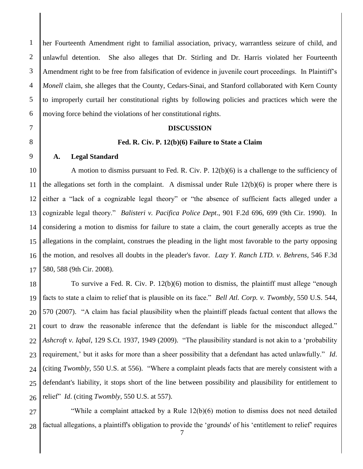1 2 3 4 5 6 her Fourteenth Amendment right to familial association, privacy, warrantless seizure of child, and unlawful detention. She also alleges that Dr. Stirling and Dr. Harris violated her Fourteenth Amendment right to be free from falsification of evidence in juvenile court proceedings. In Plaintiff's *Monell* claim, she alleges that the County, Cedars-Sinai, and Stanford collaborated with Kern County to improperly curtail her constitutional rights by following policies and practices which were the moving force behind the violations of her constitutional rights.

#### **DISCUSSION**

#### **Fed. R. Civ. P. 12(b)(6) Failure to State a Claim**

#### **A. Legal Standard**

7

8

9

10 11 12 13 14 15 16 17 A motion to dismiss pursuant to Fed. R. Civ. P. 12(b)(6) is a challenge to the sufficiency of the allegations set forth in the complaint. A dismissal under Rule  $12(b)(6)$  is proper where there is either a "lack of a cognizable legal theory" or "the absence of sufficient facts alleged under a cognizable legal theory." *Balisteri v. Pacifica Police Dept*., 901 F.2d 696, 699 (9th Cir. 1990). In considering a motion to dismiss for failure to state a claim, the court generally accepts as true the allegations in the complaint, construes the pleading in the light most favorable to the party opposing the motion, and resolves all doubts in the pleader's favor. *Lazy Y. Ranch LTD. v. Behrens*, 546 F.3d 580, 588 (9th Cir. 2008).

18 19 20 21 22 23 24 25 26 To survive a Fed. R. Civ. P. 12(b)(6) motion to dismiss, the plaintiff must allege "enough facts to state a claim to relief that is plausible on its face." *Bell Atl. Corp. v. Twombly*, 550 U.S. 544, 570 (2007). "A claim has facial plausibility when the plaintiff pleads factual content that allows the court to draw the reasonable inference that the defendant is liable for the misconduct alleged." *Ashcroft v. Iqbal*, 129 S.Ct. 1937, 1949 (2009). "The plausibility standard is not akin to a 'probability requirement,' but it asks for more than a sheer possibility that a defendant has acted unlawfully." *Id*. (citing *Twombly*, 550 U.S. at 556). "Where a complaint pleads facts that are merely consistent with a defendant's liability, it stops short of the line between possibility and plausibility for entitlement to relief" *Id*. (citing *Twombly*, 550 U.S. at 557).

27 28 "While a complaint attacked by a Rule 12(b)(6) motion to dismiss does not need detailed factual allegations, a plaintiff's obligation to provide the 'grounds' of his 'entitlement to relief' requires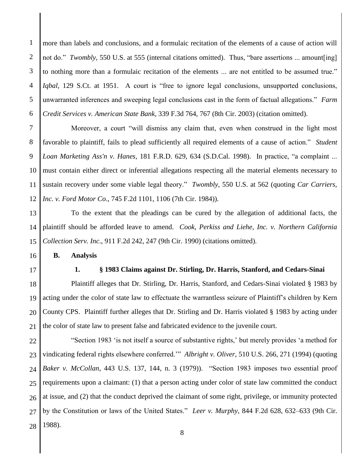1 2 3 4 5 6 more than labels and conclusions, and a formulaic recitation of the elements of a cause of action will not do." *Twombly*, 550 U.S. at 555 (internal citations omitted). Thus, "bare assertions ... amount[ing] to nothing more than a formulaic recitation of the elements ... are not entitled to be assumed true." *Iqbal*, 129 S.Ct. at 1951. A court is "free to ignore legal conclusions, unsupported conclusions, unwarranted inferences and sweeping legal conclusions cast in the form of factual allegations." *Farm Credit Services v. American State Bank*, 339 F.3d 764, 767 (8th Cir. 2003) (citation omitted).

7 8 9 10 11 12 Moreover, a court "will dismiss any claim that, even when construed in the light most favorable to plaintiff, fails to plead sufficiently all required elements of a cause of action." *Student Loan Marketing Ass'n v. Hanes*, 181 F.R.D. 629, 634 (S.D.Cal. 1998). In practice, "a complaint ... must contain either direct or inferential allegations respecting all the material elements necessary to sustain recovery under some viable legal theory." *Twombly*, 550 U.S. at 562 (quoting *Car Carriers, Inc. v. Ford Motor Co*., 745 F.2d 1101, 1106 (7th Cir. 1984)).

13 14 15 To the extent that the pleadings can be cured by the allegation of additional facts, the plaintiff should be afforded leave to amend. *Cook, Perkiss and Liehe, Inc. v. Northern California Collection Serv. Inc*., 911 F.2d 242, 247 (9th Cir. 1990) (citations omitted).

**B. Analysis**

17

16

#### **1. § 1983 Claims against Dr. Stirling, Dr. Harris, Stanford, and Cedars-Sinai**

18 19 20 21 Plaintiff alleges that Dr. Stirling, Dr. Harris, Stanford, and Cedars-Sinai violated § 1983 by acting under the color of state law to effectuate the warrantless seizure of Plaintiff's children by Kern County CPS. Plaintiff further alleges that Dr. Stirling and Dr. Harris violated § 1983 by acting under the color of state law to present false and fabricated evidence to the juvenile court.

22 23 24 25 26 27 28 "Section 1983 'is not itself a source of substantive rights,' but merely provides 'a method for vindicating federal rights elsewhere conferred.'" *Albright v. Oliver*, 510 U.S. 266, 271 (1994) (quoting *Baker v. McCollan*, 443 U.S. 137, 144, n. 3 (1979)). "Section 1983 imposes two essential proof requirements upon a claimant: (1) that a person acting under color of state law committed the conduct at issue, and (2) that the conduct deprived the claimant of some right, privilege, or immunity protected by the Constitution or laws of the United States." *Leer v. Murphy*, 844 F.2d 628, 632–633 (9th Cir. 1988).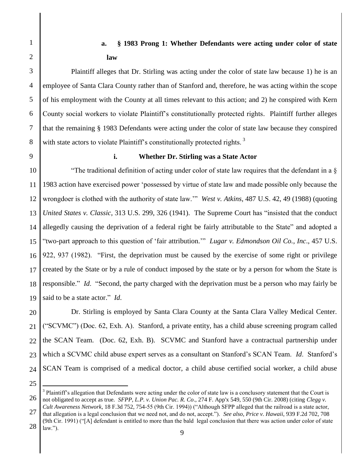# **a. § 1983 Prong 1: Whether Defendants were acting under color of state law**

Plaintiff alleges that Dr. Stirling was acting under the color of state law because 1) he is an employee of Santa Clara County rather than of Stanford and, therefore, he was acting within the scope of his employment with the County at all times relevant to this action; and 2) he conspired with Kern County social workers to violate Plaintiff's constitutionally protected rights. Plaintiff further alleges that the remaining § 1983 Defendants were acting under the color of state law because they conspired with state actors to violate Plaintiff's constitutionally protected rights.<sup>3</sup>

8 9

1

2

3

4

5

6

7

### **i. Whether Dr. Stirling was a State Actor**

10 11 12 13 14 15 16 17 18 19 "The traditional definition of acting under color of state law requires that the defendant in a  $\S$ 1983 action have exercised power 'possessed by virtue of state law and made possible only because the wrongdoer is clothed with the authority of state law.'" *West v. Atkins*, 487 U.S. 42, 49 (1988) (quoting *United States v. Classic*, 313 U.S. 299, 326 (1941). The Supreme Court has "insisted that the conduct allegedly causing the deprivation of a federal right be fairly attributable to the State" and adopted a "two-part approach to this question of 'fair attribution.'" *Lugar v. Edmondson Oil Co., Inc*., 457 U.S. 922, 937 (1982). "First, the deprivation must be caused by the exercise of some right or privilege created by the State or by a rule of conduct imposed by the state or by a person for whom the State is responsible." *Id*. "Second, the party charged with the deprivation must be a person who may fairly be said to be a state actor." *Id*.

20 21 22 23 24 Dr. Stirling is employed by Santa Clara County at the Santa Clara Valley Medical Center. ("SCVMC") (Doc. 62, Exh. A). Stanford, a private entity, has a child abuse screening program called the SCAN Team. (Doc. 62, Exh. B). SCVMC and Stanford have a contractual partnership under which a SCVMC child abuse expert serves as a consultant on Stanford's SCAN Team. *Id*. Stanford's SCAN Team is comprised of a medical doctor, a child abuse certified social worker, a child abuse

25

 $\overline{a}$ 

<sup>26</sup> <sup>3</sup> Plaintiff's allegation that Defendants were acting under the color of state law is a conclusory statement that the Court is not obligated to accept as true. *SFPP, L.P. v. Union Pac. R. Co*., 274 F. App'x 549, 550 (9th Cir. 2008) (citing *Clegg v. Cult Awareness Network*, 18 F.3d 752, 754-55 (9th Cir. 1994)) ("Although SFPP alleged that the railroad is a state actor,

<sup>27</sup> that allegation is a legal conclusion that we need not, and do not, accept."). *See also*, *Price v. Hawaii*, 939 F.2d 702, 708 (9th Cir. 1991) ("[A] defendant is entitled to more than the bald legal conclusion that there was action under color of state

<sup>28</sup>  $law.'$ ).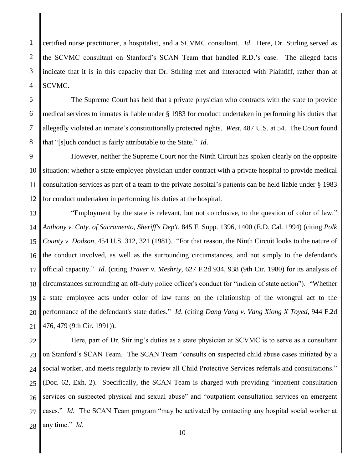1 2 certified nurse practitioner, a hospitalist, and a SCVMC consultant. *Id*. Here, Dr. Stirling served as the SCVMC consultant on Stanford's SCAN Team that handled R.D.'s case. The alleged facts indicate that it is in this capacity that Dr. Stirling met and interacted with Plaintiff, rather than at SCVMC.

The Supreme Court has held that a private physician who contracts with the state to provide medical services to inmates is liable under § 1983 for conduct undertaken in performing his duties that allegedly violated an inmate's constitutionally protected rights. *West*, 487 U.S. at 54. The Court found that "[s]uch conduct is fairly attributable to the State." *Id*.

10 11 12 However, neither the Supreme Court nor the Ninth Circuit has spoken clearly on the opposite situation: whether a state employee physician under contract with a private hospital to provide medical consultation services as part of a team to the private hospital's patients can be held liable under § 1983 for conduct undertaken in performing his duties at the hospital.

13 14 15 16 17 18 19 20 21 "Employment by the state is relevant, but not conclusive, to the question of color of law." *Anthony v. Cnty. of Sacramento, Sheriff's Dep't*, 845 F. Supp. 1396, 1400 (E.D. Cal. 1994) (citing *Polk County v. Dodson*, 454 U.S. 312, 321 (1981). "For that reason, the Ninth Circuit looks to the nature of the conduct involved, as well as the surrounding circumstances, and not simply to the defendant's official capacity." *Id*. (citing *Traver v. Meshriy*, 627 F.2d 934, 938 (9th Cir. 1980) for its analysis of circumstances surrounding an off-duty police officer's conduct for "indicia of state action"). "Whether a state employee acts under color of law turns on the relationship of the wrongful act to the performance of the defendant's state duties." *Id*. (citing *Dang Vang v. Vang Xiong X Toyed*, 944 F.2d 476, 479 (9th Cir. 1991)).

22 23 24 25 26 27 28 Here, part of Dr. Stirling's duties as a state physician at SCVMC is to serve as a consultant on Stanford's SCAN Team. The SCAN Team "consults on suspected child abuse cases initiated by a social worker, and meets regularly to review all Child Protective Services referrals and consultations." (Doc. 62, Exh. 2). Specifically, the SCAN Team is charged with providing "inpatient consultation services on suspected physical and sexual abuse" and "outpatient consultation services on emergent cases." *Id*. The SCAN Team program "may be activated by contacting any hospital social worker at any time." *Id*.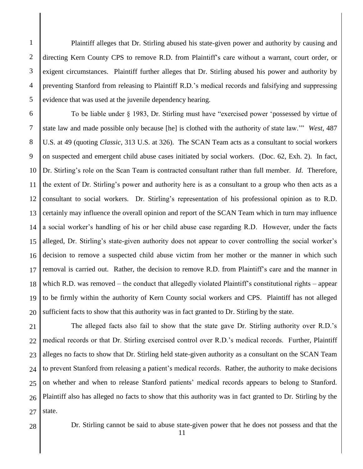2 3 4 5 Plaintiff alleges that Dr. Stirling abused his state-given power and authority by causing and directing Kern County CPS to remove R.D. from Plaintiff's care without a warrant, court order, or exigent circumstances. Plaintiff further alleges that Dr. Stirling abused his power and authority by preventing Stanford from releasing to Plaintiff R.D.'s medical records and falsifying and suppressing evidence that was used at the juvenile dependency hearing.

6 7 8 9 10 11 12 13 14 15 16 17 18 19 20 To be liable under § 1983, Dr. Stirling must have "exercised power 'possessed by virtue of state law and made possible only because [he] is clothed with the authority of state law.'" *West*, 487 U.S. at 49 (quoting *Classic*, 313 U.S. at 326). The SCAN Team acts as a consultant to social workers on suspected and emergent child abuse cases initiated by social workers. (Doc. 62, Exh. 2). In fact, Dr. Stirling's role on the Scan Team is contracted consultant rather than full member. *Id*. Therefore, the extent of Dr. Stirling's power and authority here is as a consultant to a group who then acts as a consultant to social workers. Dr. Stirling's representation of his professional opinion as to R.D. certainly may influence the overall opinion and report of the SCAN Team which in turn may influence a social worker's handling of his or her child abuse case regarding R.D. However, under the facts alleged, Dr. Stirling's state-given authority does not appear to cover controlling the social worker's decision to remove a suspected child abuse victim from her mother or the manner in which such removal is carried out. Rather, the decision to remove R.D. from Plaintiff's care and the manner in which R.D. was removed – the conduct that allegedly violated Plaintiff's constitutional rights – appear to be firmly within the authority of Kern County social workers and CPS. Plaintiff has not alleged sufficient facts to show that this authority was in fact granted to Dr. Stirling by the state.

21 22 23 24 25 26 27 The alleged facts also fail to show that the state gave Dr. Stirling authority over R.D.'s medical records or that Dr. Stirling exercised control over R.D.'s medical records. Further, Plaintiff alleges no facts to show that Dr. Stirling held state-given authority as a consultant on the SCAN Team to prevent Stanford from releasing a patient's medical records. Rather, the authority to make decisions on whether and when to release Stanford patients' medical records appears to belong to Stanford. Plaintiff also has alleged no facts to show that this authority was in fact granted to Dr. Stirling by the state.

28

1

Dr. Stirling cannot be said to abuse state-given power that he does not possess and that the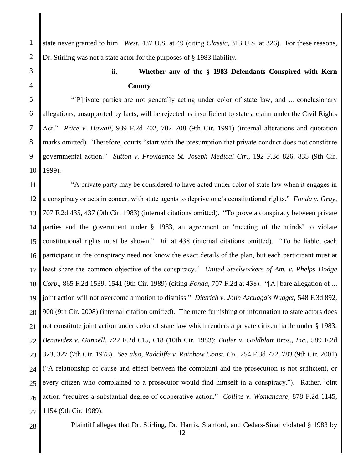state never granted to him. *West*, 487 U.S. at 49 (citing *Classic*, 313 U.S. at 326). For these reasons, Dr. Stirling was not a state actor for the purposes of § 1983 liability.

7

8

9

1

2

# **ii. Whether any of the § 1983 Defendants Conspired with Kern County**

10 "[P]rivate parties are not generally acting under color of state law, and ... conclusionary allegations, unsupported by facts, will be rejected as insufficient to state a claim under the Civil Rights Act." *Price v. Hawaii*, 939 F.2d 702, 707–708 (9th Cir. 1991) (internal alterations and quotation marks omitted). Therefore, courts "start with the presumption that private conduct does not constitute governmental action." *Sutton v. Providence St. Joseph Medical Ctr*., 192 F.3d 826, 835 (9th Cir. 1999).

11 12 13 14 15 16 17 18 19 20 21 22 23 24 25 26 27 "A private party may be considered to have acted under color of state law when it engages in a conspiracy or acts in concert with state agents to deprive one's constitutional rights." *Fonda v. Gray*, 707 F.2d 435, 437 (9th Cir. 1983) (internal citations omitted). "To prove a conspiracy between private parties and the government under § 1983, an agreement or 'meeting of the minds' to violate constitutional rights must be shown." *Id*. at 438 (internal citations omitted). "To be liable, each participant in the conspiracy need not know the exact details of the plan, but each participant must at least share the common objective of the conspiracy." *United Steelworkers of Am. v. Phelps Dodge Corp*., 865 F.2d 1539, 1541 (9th Cir. 1989) (citing *Fonda*, 707 F.2d at 438). "[A] bare allegation of ... joint action will not overcome a motion to dismiss." *Dietrich v. John Ascuaga's Nugget*, 548 F.3d 892, 900 (9th Cir. 2008) (internal citation omitted). The mere furnishing of information to state actors does not constitute joint action under color of state law which renders a private citizen liable under § 1983. *Benavidez v. Gunnell*, 722 F.2d 615, 618 (10th Cir. 1983); *Butler v. Goldblatt Bros., Inc*., 589 F.2d 323, 327 (7th Cir. 1978). *See also*, *Radcliffe v. Rainbow Const. Co*., 254 F.3d 772, 783 (9th Cir. 2001) ("A relationship of cause and effect between the complaint and the prosecution is not sufficient, or every citizen who complained to a prosecutor would find himself in a conspiracy."). Rather, joint action "requires a substantial degree of cooperative action." *Collins v. Womancare*, 878 F.2d 1145, 1154 (9th Cir. 1989).

28

Plaintiff alleges that Dr. Stirling, Dr. Harris, Stanford, and Cedars-Sinai violated § 1983 by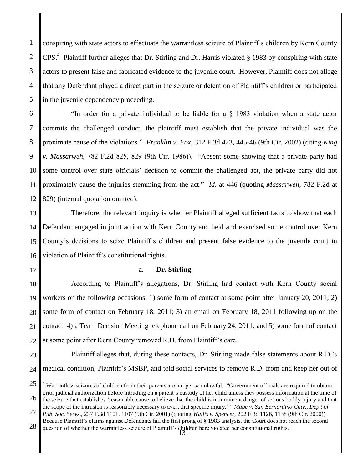2 3 4 5 conspiring with state actors to effectuate the warrantless seizure of Plaintiff's children by Kern County  $CPS<sup>4</sup>$  Plaintiff further alleges that Dr. Stirling and Dr. Harris violated § 1983 by conspiring with state actors to present false and fabricated evidence to the juvenile court. However, Plaintiff does not allege that any Defendant played a direct part in the seizure or detention of Plaintiff's children or participated in the juvenile dependency proceeding.

6 7 8 9 10 11 12 "In order for a private individual to be liable for a § 1983 violation when a state actor commits the challenged conduct, the plaintiff must establish that the private individual was the proximate cause of the violations." *Franklin v. Fox*, 312 F.3d 423, 445-46 (9th Cir. 2002) (citing *King v. Massarweh*, 782 F.2d 825, 829 (9th Cir. 1986)). "Absent some showing that a private party had some control over state officials' decision to commit the challenged act, the private party did not proximately cause the injuries stemming from the act." *Id*. at 446 (quoting *Massarweh*, 782 F.2d at 829) (internal quotation omitted).

13 14 15 16 Therefore, the relevant inquiry is whether Plaintiff alleged sufficient facts to show that each Defendant engaged in joint action with Kern County and held and exercised some control over Kern County's decisions to seize Plaintiff's children and present false evidence to the juvenile court in violation of Plaintiff's constitutional rights.

17

1

### a. **Dr. Stirling**

18 19 20 21 22 According to Plaintiff's allegations, Dr. Stirling had contact with Kern County social workers on the following occasions: 1) some form of contact at some point after January 20, 2011; 2) some form of contact on February 18, 2011; 3) an email on February 18, 2011 following up on the contact; 4) a Team Decision Meeting telephone call on February 24, 2011; and 5) some form of contact at some point after Kern County removed R.D. from Plaintiff's care.

#### 23

24 Plaintiff alleges that, during these contacts, Dr. Stirling made false statements about R.D.'s medical condition, Plaintiff's MSBP, and told social services to remove R.D. from and keep her out of

<sup>25</sup> 26  $\overline{a}$ <sup>4</sup> Warrantless seizures of children from their parents are not per se unlawful. "Government officials are required to obtain prior judicial authorization before intruding on a parent's custody of her child unless they possess information at the time of the seizure that establishes 'reasonable cause to believe that the child is in imminent danger of serious bodily injury and that the scope of the intrusion is reasonably necessary to avert that specific injury.'" *Mabe v. San Bernardino Cnty., Dep't of* 

<sup>27</sup> *Pub. Soc. Servs*., 237 F.3d 1101, 1107 (9th Cir. 2001) (quoting *Wallis v. Spencer*, 202 F.3d 1126, 1138 (9th Cir. 2000)). Because Plaintiff's claims against Defendants fail the first prong of § 1983 analysis, the Court does not reach the second

<sup>28</sup> question of whether the warrantless seizure of Plaintiff's children here violated her constitutional rights.<br>
13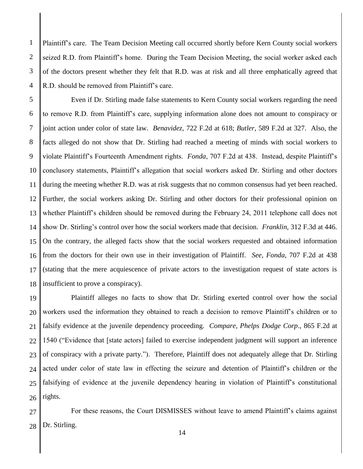Plaintiff's care. The Team Decision Meeting call occurred shortly before Kern County social workers seized R.D. from Plaintiff's home. During the Team Decision Meeting, the social worker asked each of the doctors present whether they felt that R.D. was at risk and all three emphatically agreed that R.D. should be removed from Plaintiff's care.

1

2

3

4

5 6 7 8 9 10 11 12 13 14 15 16 17 18 Even if Dr. Stirling made false statements to Kern County social workers regarding the need to remove R.D. from Plaintiff's care, supplying information alone does not amount to conspiracy or joint action under color of state law. *Benavidez*, 722 F.2d at 618; *Butler*, 589 F.2d at 327. Also, the facts alleged do not show that Dr. Stirling had reached a meeting of minds with social workers to violate Plaintiff's Fourteenth Amendment rights. *Fonda*, 707 F.2d at 438. Instead, despite Plaintiff's conclusory statements, Plaintiff's allegation that social workers asked Dr. Stirling and other doctors during the meeting whether R.D. was at risk suggests that no common consensus had yet been reached. Further, the social workers asking Dr. Stirling and other doctors for their professional opinion on whether Plaintiff's children should be removed during the February 24, 2011 telephone call does not show Dr. Stirling's control over how the social workers made that decision. *Franklin*, 312 F.3d at 446. On the contrary, the alleged facts show that the social workers requested and obtained information from the doctors for their own use in their investigation of Plaintiff. *See*, *Fonda*, 707 F.2d at 438 (stating that the mere acquiescence of private actors to the investigation request of state actors is insufficient to prove a conspiracy).

19 20 21 22 23 24 25 26 Plaintiff alleges no facts to show that Dr. Stirling exerted control over how the social workers used the information they obtained to reach a decision to remove Plaintiff's children or to falsify evidence at the juvenile dependency proceeding. *Compare*, *Phelps Dodge Corp*., 865 F.2d at 1540 ("Evidence that [state actors] failed to exercise independent judgment will support an inference of conspiracy with a private party."). Therefore, Plaintiff does not adequately allege that Dr. Stirling acted under color of state law in effecting the seizure and detention of Plaintiff's children or the falsifying of evidence at the juvenile dependency hearing in violation of Plaintiff's constitutional rights.

27 28 For these reasons, the Court DISMISSES without leave to amend Plaintiff's claims against Dr. Stirling.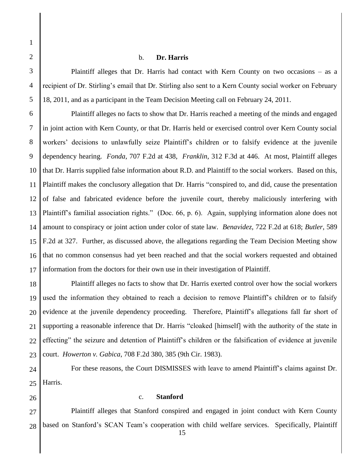2 3

4

5

1

#### b. **Dr. Harris**

Plaintiff alleges that Dr. Harris had contact with Kern County on two occasions – as a recipient of Dr. Stirling's email that Dr. Stirling also sent to a Kern County social worker on February 18, 2011, and as a participant in the Team Decision Meeting call on February 24, 2011.

6 7 8 9 10 11 12 13 14 15 16 17 Plaintiff alleges no facts to show that Dr. Harris reached a meeting of the minds and engaged in joint action with Kern County, or that Dr. Harris held or exercised control over Kern County social workers' decisions to unlawfully seize Plaintiff's children or to falsify evidence at the juvenile dependency hearing. *Fonda*, 707 F.2d at 438, *Franklin*, 312 F.3d at 446. At most, Plaintiff alleges that Dr. Harris supplied false information about R.D. and Plaintiff to the social workers. Based on this, Plaintiff makes the conclusory allegation that Dr. Harris "conspired to, and did, cause the presentation of false and fabricated evidence before the juvenile court, thereby maliciously interfering with Plaintiff's familial association rights." (Doc. 66, p. 6). Again, supplying information alone does not amount to conspiracy or joint action under color of state law. *Benavidez*, 722 F.2d at 618; *Butler*, 589 F.2d at 327. Further, as discussed above, the allegations regarding the Team Decision Meeting show that no common consensus had yet been reached and that the social workers requested and obtained information from the doctors for their own use in their investigation of Plaintiff.

18 19 20 21 22 23 Plaintiff alleges no facts to show that Dr. Harris exerted control over how the social workers used the information they obtained to reach a decision to remove Plaintiff's children or to falsify evidence at the juvenile dependency proceeding. Therefore, Plaintiff's allegations fall far short of supporting a reasonable inference that Dr. Harris "cloaked [himself] with the authority of the state in effecting" the seizure and detention of Plaintiff's children or the falsification of evidence at juvenile court. *Howerton v. Gabica*, 708 F.2d 380, 385 (9th Cir. 1983).

24 25 For these reasons, the Court DISMISSES with leave to amend Plaintiff's claims against Dr. Harris.

26

## c. **Stanford**

27 28 Plaintiff alleges that Stanford conspired and engaged in joint conduct with Kern County based on Stanford's SCAN Team's cooperation with child welfare services. Specifically, Plaintiff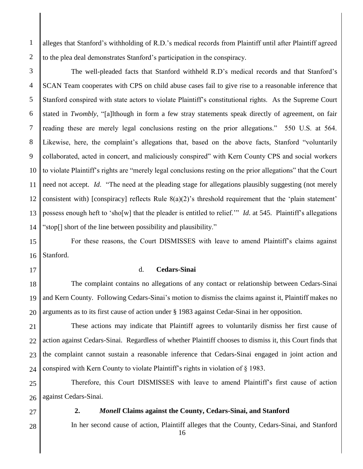1 2 alleges that Stanford's withholding of R.D.'s medical records from Plaintiff until after Plaintiff agreed to the plea deal demonstrates Stanford's participation in the conspiracy.

3 4 5 6 7 8 9 10 11 12 13 14 The well-pleaded facts that Stanford withheld R.D's medical records and that Stanford's SCAN Team cooperates with CPS on child abuse cases fail to give rise to a reasonable inference that Stanford conspired with state actors to violate Plaintiff's constitutional rights. As the Supreme Court stated in *Twombly*, "[a]lthough in form a few stray statements speak directly of agreement, on fair reading these are merely legal conclusions resting on the prior allegations." 550 U.S. at 564. Likewise, here, the complaint's allegations that, based on the above facts, Stanford "voluntarily collaborated, acted in concert, and maliciously conspired" with Kern County CPS and social workers to violate Plaintiff's rights are "merely legal conclusions resting on the prior allegations" that the Court need not accept. *Id*. "The need at the pleading stage for allegations plausibly suggesting (not merely consistent with) [conspiracy] reflects Rule 8(a)(2)'s threshold requirement that the 'plain statement' possess enough heft to 'sho[w] that the pleader is entitled to relief.'" *Id*. at 545. Plaintiff's allegations "stop[] short of the line between possibility and plausibility."

15 16 For these reasons, the Court DISMISSES with leave to amend Plaintiff's claims against Stanford.

17

#### d. **Cedars-Sinai**

18 19 20 The complaint contains no allegations of any contact or relationship between Cedars-Sinai and Kern County. Following Cedars-Sinai's motion to dismiss the claims against it, Plaintiff makes no arguments as to its first cause of action under § 1983 against Cedar-Sinai in her opposition.

21 22 23 24 These actions may indicate that Plaintiff agrees to voluntarily dismiss her first cause of action against Cedars-Sinai. Regardless of whether Plaintiff chooses to dismiss it, this Court finds that the complaint cannot sustain a reasonable inference that Cedars-Sinai engaged in joint action and conspired with Kern County to violate Plaintiff's rights in violation of § 1983.

25 26 Therefore, this Court DISMISSES with leave to amend Plaintiff's first cause of action against Cedars-Sinai.

27

28

#### **2.** *Monell* **Claims against the County, Cedars-Sinai, and Stanford**

In her second cause of action, Plaintiff alleges that the County, Cedars-Sinai, and Stanford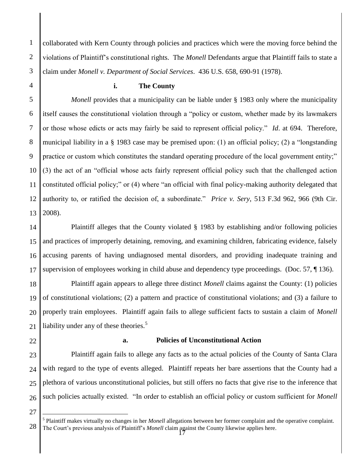1 2 collaborated with Kern County through policies and practices which were the moving force behind the violations of Plaintiff's constitutional rights. The *Monell* Defendants argue that Plaintiff fails to state a claim under *Monell v. Department of Social Services*. 436 U.S. 658, 690-91 (1978).

#### **i. The County**

12 13 *Monell* provides that a municipality can be liable under § 1983 only where the municipality itself causes the constitutional violation through a "policy or custom, whether made by its lawmakers or those whose edicts or acts may fairly be said to represent official policy." *Id*. at 694. Therefore, municipal liability in a § 1983 case may be premised upon: (1) an official policy; (2) a "longstanding practice or custom which constitutes the standard operating procedure of the local government entity;" (3) the act of an "official whose acts fairly represent official policy such that the challenged action constituted official policy;" or (4) where "an official with final policy-making authority delegated that authority to, or ratified the decision of, a subordinate." *Price v. Sery*, 513 F.3d 962, 966 (9th Cir. 2008).

14 15 16 17 Plaintiff alleges that the County violated § 1983 by establishing and/or following policies and practices of improperly detaining, removing, and examining children, fabricating evidence, falsely accusing parents of having undiagnosed mental disorders, and providing inadequate training and supervision of employees working in child abuse and dependency type proceedings. (Doc. 57, ¶ 136).

18 19 20 21 Plaintiff again appears to allege three distinct *Monell* claims against the County: (1) policies of constitutional violations; (2) a pattern and practice of constitutional violations; and (3) a failure to properly train employees. Plaintiff again fails to allege sufficient facts to sustain a claim of *Monell* liability under any of these theories.<sup>5</sup>

# 22

## **a. Policies of Unconstitutional Action**

23 24 25 26 Plaintiff again fails to allege any facts as to the actual policies of the County of Santa Clara with regard to the type of events alleged. Plaintiff repeats her bare assertions that the County had a plethora of various unconstitutional policies, but still offers no facts that give rise to the inference that such policies actually existed. "In order to establish an official policy or custom sufficient for *Monell*

27

 $\overline{a}$ 

<sup>28</sup> The Court's previous analysis of Plaintiff's *Monell* claim against the County likewise applies here.<br>
<sup>17</sup> 5 Plaintiff makes virtually no changes in her *Monell* allegations between her former complaint and the operative complaint.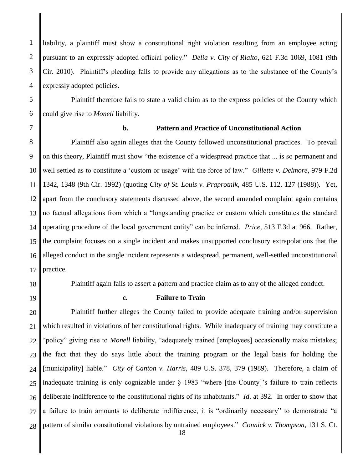liability, a plaintiff must show a constitutional right violation resulting from an employee acting pursuant to an expressly adopted official policy." *Delia v. City of Rialto*, 621 F.3d 1069, 1081 (9th Cir. 2010). Plaintiff's pleading fails to provide any allegations as to the substance of the County's expressly adopted policies.

Plaintiff therefore fails to state a valid claim as to the express policies of the County which could give rise to *Monell* liability.

1

2

3

4

5

6

7

## **b. Pattern and Practice of Unconstitutional Action**

8 9 10 11 12 13 14 15 16 17 Plaintiff also again alleges that the County followed unconstitutional practices. To prevail on this theory, Plaintiff must show "the existence of a widespread practice that ... is so permanent and well settled as to constitute a 'custom or usage' with the force of law." *Gillette v. Delmore*, 979 F.2d 1342, 1348 (9th Cir. 1992) (quoting *City of St. Louis v. Praprotnik*, 485 U.S. 112, 127 (1988)). Yet, apart from the conclusory statements discussed above, the second amended complaint again contains no factual allegations from which a "longstanding practice or custom which constitutes the standard operating procedure of the local government entity" can be inferred. *Price*, 513 F.3d at 966. Rather, the complaint focuses on a single incident and makes unsupported conclusory extrapolations that the alleged conduct in the single incident represents a widespread, permanent, well-settled unconstitutional practice.

18

Plaintiff again fails to assert a pattern and practice claim as to any of the alleged conduct.

19

## **c. Failure to Train**

20 21 22 23 24 25 26 27 28 Plaintiff further alleges the County failed to provide adequate training and/or supervision which resulted in violations of her constitutional rights. While inadequacy of training may constitute a "policy" giving rise to *Monell* liability, "adequately trained [employees] occasionally make mistakes; the fact that they do says little about the training program or the legal basis for holding the [municipality] liable." *City of Canton v. Harris*, 489 U.S. 378, 379 (1989). Therefore, a claim of inadequate training is only cognizable under § 1983 "where [the County]'s failure to train reflects deliberate indifference to the constitutional rights of its inhabitants." *Id*. at 392. In order to show that a failure to train amounts to deliberate indifference, it is "ordinarily necessary" to demonstrate "a pattern of similar constitutional violations by untrained employees." *Connick v. Thompson*, 131 S. Ct.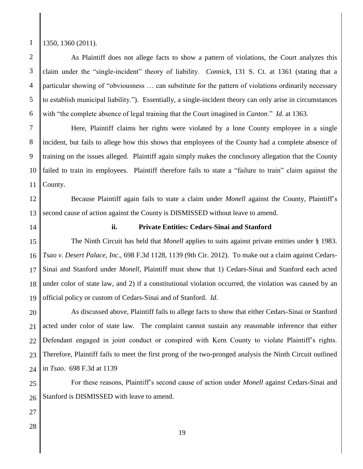1

2

3

4

5

6

#### 1350, 1360 (2011).

As Plaintiff does not allege facts to show a pattern of violations, the Court analyzes this claim under the "single-incident" theory of liability. *Connick*, 131 S. Ct. at 1361 (stating that a particular showing of "obviousness … can substitute for the pattern of violations ordinarily necessary to establish municipal liability."). Essentially, a single-incident theory can only arise in circumstances with "the complete absence of legal training that the Court imagined in *Canton*." *Id*. at 1363.

7 8 9 10 11 Here, Plaintiff claims her rights were violated by a lone County employee in a single incident, but fails to allege how this shows that employees of the County had a complete absence of training on the issues alleged. Plaintiff again simply makes the conclusory allegation that the County failed to train its employees. Plaintiff therefore fails to state a "failure to train" claim against the County.

12 13 Because Plaintiff again fails to state a claim under *Monell* against the County, Plaintiff's second cause of action against the County is DISMISSED without leave to amend.

14

#### **ii. Private Entities: Cedars-Sinai and Stanford**

15 16 17 18 19 The Ninth Circuit has held that *Monell* applies to suits against private entities under § 1983. *Tsao v. Desert Palace, Inc*., 698 F.3d 1128, 1139 (9th Cir. 2012). To make out a claim against Cedars-Sinai and Stanford under *Monell*, Plaintiff must show that 1) Cedars-Sinai and Stanford each acted under color of state law, and 2) if a constitutional violation occurred, the violation was caused by an official policy or custom of Cedars-Sinai and of Stanford. *Id*.

20 21 22 23 24 As discussed above, Plaintiff fails to allege facts to show that either Cedars-Sinai or Stanford acted under color of state law. The complaint cannot sustain any reasonable inference that either Defendant engaged in joint conduct or conspired with Kern County to violate Plaintiff's rights. Therefore, Plaintiff fails to meet the first prong of the two-pronged analysis the Ninth Circuit outlined in *Tsao*. 698 F.3d at 1139

25 26 For these reasons, Plaintiff's second cause of action under *Monell* against Cedars-Sinai and Stanford is DISMISSED with leave to amend.

- 27
- 28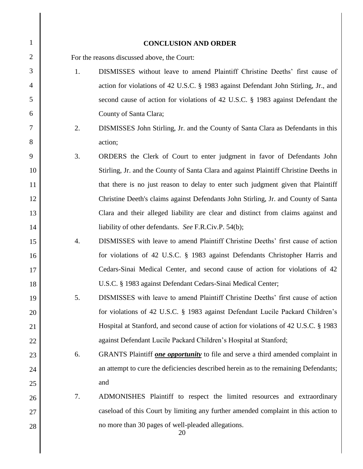| $\mathbf{1}$   |                  | <b>CONCLUSION AND ORDER</b>                                                            |
|----------------|------------------|----------------------------------------------------------------------------------------|
| $\overline{2}$ |                  | For the reasons discussed above, the Court:                                            |
| 3              | 1.               | DISMISSES without leave to amend Plaintiff Christine Deeths' first cause of            |
| $\overline{4}$ |                  | action for violations of 42 U.S.C. § 1983 against Defendant John Stirling, Jr., and    |
| 5              |                  | second cause of action for violations of 42 U.S.C. § 1983 against Defendant the        |
| 6              |                  | County of Santa Clara;                                                                 |
| 7              | 2.               | DISMISSES John Stirling, Jr. and the County of Santa Clara as Defendants in this       |
| 8              |                  | action;                                                                                |
| 9              | 3.               | ORDERS the Clerk of Court to enter judgment in favor of Defendants John                |
| 10             |                  | Stirling, Jr. and the County of Santa Clara and against Plaintiff Christine Deeths in  |
| 11             |                  | that there is no just reason to delay to enter such judgment given that Plaintiff      |
| 12             |                  | Christine Deeth's claims against Defendants John Stirling, Jr. and County of Santa     |
| 13             |                  | Clara and their alleged liability are clear and distinct from claims against and       |
| 14             |                  | liability of other defendants. See F.R.Civ.P. 54(b);                                   |
| 15             | $\overline{4}$ . | DISMISSES with leave to amend Plaintiff Christine Deeths' first cause of action        |
| 16             |                  | for violations of 42 U.S.C. § 1983 against Defendants Christopher Harris and           |
| 17             |                  | Cedars-Sinai Medical Center, and second cause of action for violations of 42           |
| 18             |                  | U.S.C. § 1983 against Defendant Cedars-Sinai Medical Center;                           |
| 19             | 5.               | DISMISSES with leave to amend Plaintiff Christine Deeths' first cause of action        |
| 20             |                  | for violations of 42 U.S.C. § 1983 against Defendant Lucile Packard Children's         |
| 21             |                  | Hospital at Stanford, and second cause of action for violations of 42 U.S.C. § 1983    |
| 22             |                  | against Defendant Lucile Packard Children's Hospital at Stanford;                      |
| 23             | 6.               | GRANTS Plaintiff <i>one opportunity</i> to file and serve a third amended complaint in |
| 24             |                  | an attempt to cure the deficiencies described herein as to the remaining Defendants;   |
| 25             |                  | and                                                                                    |
| 26             | 7.               | ADMONISHES Plaintiff to respect the limited resources and extraordinary                |
| 27             |                  | caseload of this Court by limiting any further amended complaint in this action to     |
| 28             |                  | no more than 30 pages of well-pleaded allegations.<br>20                               |

║

║